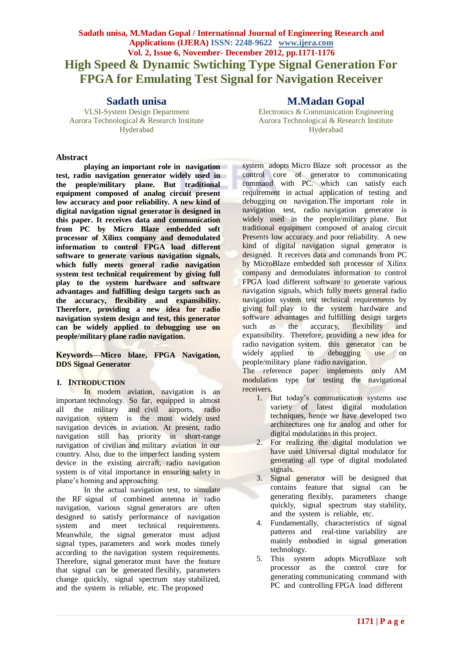# **Sadath unisa, M.Madan Gopal / International Journal of Engineering Research and Applications (IJERA) ISSN: 2248-9622 www.ijera.com Vol. 2, Issue 6, November- December 2012, pp.1171-1176 High Speed & Dynamic Swtiching Type Signal Generation For FPGA for Emulating Test Signal for Navigation Receiver**

## **Sadath unisa**

VLSI-System Design Department Aurora Technological & Research Institute Hyderabad

#### **Abstract**

**playing an important role in navigation test, radio navigation generator widely used in the people/military plane. But traditional equipment composed of analog circuit present low accuracy and poor reliability. A new kind of digital navigation signal generator is designed in this paper. It receives data and communication from PC by Micro Blaze embedded soft processor of Xilinx company and demodulated information to control FPGA load different software to generate various navigation signals, which fully meets general radio navigation system test technical requirement by giving full play to the system hardware and software advantages and fulfilling design targets such as the accuracy, flexibility and expansibility. Therefore, providing a new idea for radio navigation system design and test, this generator can be widely applied to debugging use on people/military plane radio navigation.**

**Keywords—Micro blaze, FPGA Navigation, DDS Signal Generator**

#### **I. INTRODUCTION**

In modem aviation, navigation is an important technology. So far, equipped in almost all the military and civil airports, radio navigation system is the most widely used navigation devices in aviation. At present, radio navigation still has priority in short-range navigation of civilian and military aviation in our country. Also, due to the imperfect landing system device in the existing aircraft, radio navigation system is of vital importance in ensuring safety in plane's homing and approaching.

In the actual navigation test, to simulate the RF signal of combined antenna in radio navigation, various signal generators are often designed to satisfy performance of navigation system and meet technical requirements. Meanwhile, the signal generator must adjust signal types, parameters and work modes timely according to the navigation system requirements. Therefore, signal generator must have the feature that signal can be generated flexibly, parameters change quickly, signal spectrum stay stabilized, and the system is reliable, etc. The proposed

# **M.Madan Gopal**

Electronics & Communication Engineering Aurora Technological & Research Institute Hyderabad

system adopts Micro Blaze soft processor as the control core of generator to communicating command with PC. which can satisfy each requirement in actual application of testing and debugging on navigation.The important role in navigation test, radio navigation generator is widely used in the people/military plane. But traditional equipment composed of analog circuit Presents low accuracy and poor reliability. A new kind of digital navigation signal generator is designed. It receives data and commands from PC by MicroBlaze embedded soft processor of Xilinx company and demodulates information to control FPGA load different software to generate various navigation signals, which fully meets general radio navigation system test technical requirements by giving full play to the system hardware and software advantages and fulfilling design targets such as the accuracy, flexibility and expansibility. Therefore, providing a new idea for radio navigation system. this generator can be widely applied to debugging use on people/military plane radio navigation.

The reference paper implements only AM modulation type for testing the navigational receivers.

- 1. But today's communication systems use variety of latest digital modulation techniques, hence we have developed two architectures one for analog and other for digital modulations in this project.
- 2. For realizing the digital modulation we have used Universal digital modulator for generating all type of digital modulated signals.
- 3. Signal generator will be designed that contains feature that signal can be generating flexibly, parameters change quickly, signal spectrum stay stability, and the system is reliable, etc.
- 4. Fundamentally, characteristics of signal patterns and real-time variability are mainly embodied in signal generation technology.
- 5. This system adopts MicroBlaze soft processor as the control core for generating communicating command with PC and controlling FPGA load different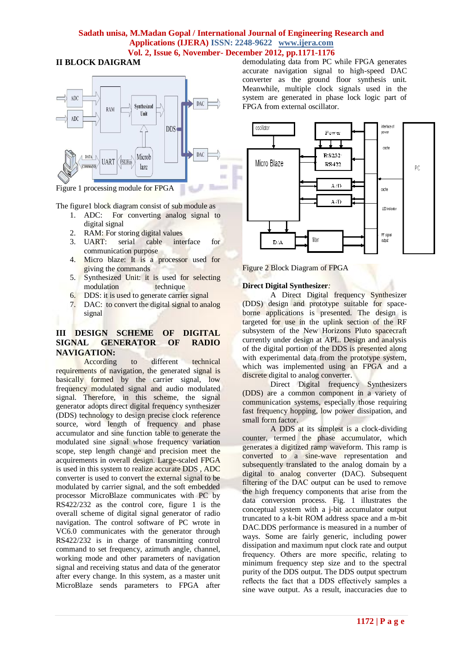# **II BLOCK DAIGRAM**



Figure 1 processing module for FPGA

The figure1 block diagram consist of sub module as

- 1. ADC: For converting analog signal to digital signal
- 2. RAM: For storing digital values
- 3. UART: serial cable interface for communication purpose
- 4. Micro blaze: It is a processor used for giving the commands
- 5. Synthesized Unit: it is used for selecting modulation technique
- 6. DDS: it is used to generate carrier signal
- 7. DAC: to convert the digital signal to analog signal

## **III DESIGN SCHEME OF DIGITAL SIGNAL GENERATOR OF RADIO NAVIGATION:**

According to different technical requirements of navigation, the generated signal is basically formed by the carrier signal, low frequency modulated signal and audio modulated signal. Therefore, in this scheme, the signal generator adopts direct digital frequency synthesizer (DDS) technology to design precise clock reference source, word length of frequency and phase accumulator and sine function table to generate the modulated sine signal whose frequency variation scope, step length change and precision meet the acquirements in overall design. Large-scaled FPGA is used in this system to realize accurate DDS , ADC converter is used to convert the external signal to be modulated by carrier signal, and the soft embedded processor MicroBlaze communicates with PC by RS422/232 as the control core, figure 1 is the overall scheme of digital signal generator of radio navigation. The control software of PC wrote in VC6.0 communicates with the generator through RS422/232 is in charge of transmitting control command to set frequency, azimuth angle, channel, working mode and other parameters of navigation signal and receiving status and data of the generator after every change. In this system, as a master unit MicroBlaze sends parameters to FPGA after

demodulating data from PC while FPGA generates accurate navigation signal to high-speed DAC converter as the ground floor synthesis unit. Meanwhile, multiple clock signals used in the system are generated in phase lock logic part of FPGA from external oscillator.



Figure 2 Block Diagram of FPGA

## **Direct Digital Synthesizer***:*

A Direct Digital frequency Synthesizer (DDS) design and prototype suitable for spaceborne applications is presented. The design is targeted for use in the uplink section of the RF subsystem of the New Horizons Pluto spacecraft currently under design at APL. Design and analysis of the digital portion of the DDS is presented along with experimental data from the prototype system, which was implemented using an FPGA and a discrete digital to analog converter.

Direct Digital frequency Synthesizers (DDS) are a common component in a variety of communication systems, especially those requiring fast frequency hopping, low power dissipation, and small form factor.

A DDS at its simplest is a clock-dividing counter, termed the phase accumulator, which generates a digitized ramp waveform. This ramp is converted to a sine-wave representation and subsequently translated to the analog domain by a digital to analog converter (DAC). Subsequent filtering of the DAC output can be used to remove the high frequency components that arise from the data conversion process. Fig. 1 illustrates the conceptual system with a j-bit accumulator output truncated to a k-bit ROM address space and a m-bit DAC.DDS performance is measured in a number of ways. Some are fairly generic, including power dissipation and maximum nput clock rate and output frequency. Others are more specific, relating to minimum frequency step size and to the spectral purity of the DDS output. The DDS output spectrum reflects the fact that a DDS effectively samples a sine wave output. As a result, inaccuracies due to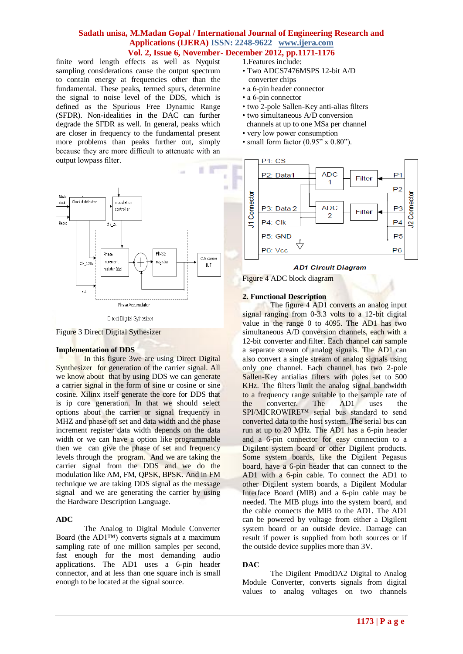finite word length effects as well as Nyquist sampling considerations cause the output spectrum to contain energy at frequencies other than the fundamental. These peaks, termed spurs, determine the signal to noise level of the DDS, which is defined as the Spurious Free Dynamic Range (SFDR). Non-idealities in the DAC can further degrade the SFDR as well. In general, peaks which are closer in frequency to the fundamental present more problems than peaks further out, simply because they are more difficult to attenuate with an output lowpass filter.



Figure 3 Direct Digital Sythesizer

## **Implementation of DDS**

In this figure 3we are using Direct Digital Synthesizer for generation of the carrier signal. All we know about that by using DDS we can generate a carrier signal in the form of sine or cosine or sine cosine. Xilinx itself generate the core for DDS that is ip core generation. In that we should select options about the carrier or signal frequency in MHZ and phase off set and data width and the phase increment register data width depends on the data width or we can have a option like programmable then we can give the phase of set and frequency levels through the program. And we are taking the carrier signal from the DDS and we do the modulation like AM, FM, QPSK, BPSK. And in FM technique we are taking DDS signal as the message signal and we are generating the carrier by using the Hardware Description Language.

## **ADC**

The Analog to Digital Module Converter Board (the AD1™) converts signals at a maximum sampling rate of one million samples per second, fast enough for the most demanding audio applications. The AD1 uses a 6-pin header connector, and at less than one square inch is small enough to be located at the signal source.

- 1.Features include:
- Two ADCS7476MSPS 12-bit A/D converter chips
- a 6-pin header connector
- a 6-pin connector
- two 2-pole Sallen-Key anti-alias filters
- two simultaneous A/D conversion
- channels at up to one MSa per channel • very low power consumption
- small form factor  $(0.95" \times 0.80")$ .



#### **AD1 Circuit Diagram**

Figure 4 ADC block diagram

## **2. Functional Description**

The figure 4 AD1 converts an analog input signal ranging from 0-3.3 volts to a 12-bit digital value in the range 0 to 4095. The AD1 has two simultaneous A/D conversion channels, each with a 12-bit converter and filter. Each channel can sample a separate stream of analog signals. The AD1 can also convert a single stream of analog signals using only one channel. Each channel has two 2-pole Sallen-Key antialias filters with poles set to 500 KHz. The filters limit the analog signal bandwidth to a frequency range suitable to the sample rate of<br>the converter. The AD1 uses the the converter. The AD1 uses the SPI/MICROWIRE™ serial bus standard to send converted data to the host system. The serial bus can run at up to 20 MHz. The AD1 has a 6-pin header and a 6-pin connector for easy connection to a Digilent system board or other Digilent products. Some system boards, like the Digilent Pegasus board, have a 6-pin header that can connect to the AD1 with a 6-pin cable. To connect the AD1 to other Digilent system boards, a Digilent Modular Interface Board (MIB) and a 6-pin cable may be needed. The MIB plugs into the system board, and the cable connects the MIB to the AD1. The AD1 can be powered by voltage from either a Digilent system board or an outside device. Damage can result if power is supplied from both sources or if the outside device supplies more than 3V.

## **DAC**

The Digilent PmodDA2 Digital to Analog Module Converter, converts signals from digital values to analog voltages on two channels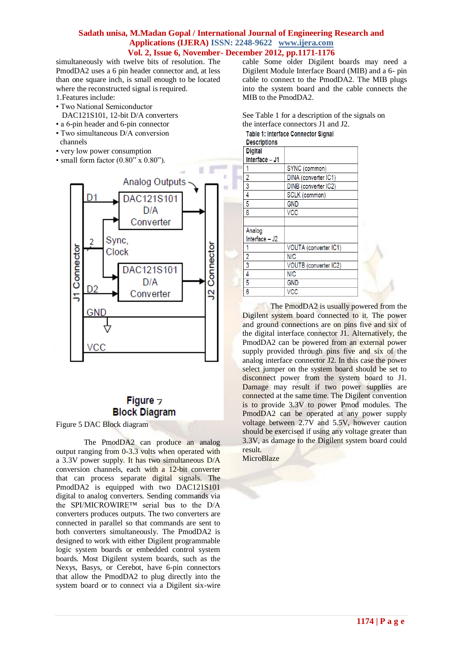simultaneously with twelve bits of resolution. The PmodDA2 uses a 6 pin header connector and, at less than one square inch, is small enough to be located where the reconstructed signal is required.

- 1.Features include:
- Two National Semiconductor
- DAC121S101, 12-bit D/A converters
- a 6-pin header and 6-pin connector
- Two simultaneous D/A conversion channels
- very low power consumption
- small form factor  $(0.80^{\prime\prime} \times 0.80^{\prime\prime})$ .



# Figure  $\neg$ **Block Diagram**

Figure 5 DAC Block diagram

The PmodDA2 can produce an analog output ranging from 0-3.3 volts when operated with a 3.3V power supply. It has two simultaneous D/A conversion channels, each with a 12-bit converter that can process separate digital signals. The PmodDA2 is equipped with two DAC121S101 digital to analog converters. Sending commands via the SPI/MICROWIRE™ serial bus to the D/A converters produces outputs. The two converters are connected in parallel so that commands are sent to both converters simultaneously. The PmodDA2 is designed to work with either Digilent programmable logic system boards or embedded control system boards. Most Digilent system boards, such as the Nexys, Basys, or Cerebot, have 6-pin connectors that allow the PmodDA2 to plug directly into the system board or to connect via a Digilent six-wire

cable Some older Digilent boards may need a Digilent Module Interface Board (MIB) and a 6- pin cable to connect to the PmodDA2. The MIB plugs into the system board and the cable connects the MIB to the PmodDA2.

See Table 1 for a description of the signals on the interface connectors J1 and J2.

Table 1: Interface Connector Signal

**Descriptions** 

| <b>Digital</b> |                       |  |
|----------------|-----------------------|--|
| Interface - J1 |                       |  |
|                | SYNC (common)         |  |
| 2              | DINA (converter IC1)  |  |
| 3              | DINB (converter IC2)  |  |
| 4              | SCLK (common)         |  |
| 5              | <b>GND</b>            |  |
| 6              | <b>VCC</b>            |  |
|                |                       |  |
| Analog         |                       |  |
| Interface - J2 |                       |  |
|                | VOUTA (converter IC1) |  |
| 2              | N/C                   |  |
| 3              | VOUTB (converter IC2) |  |
| 4              | N/C                   |  |
| 5              | <b>GND</b>            |  |
| 6              | <b>VCC</b>            |  |

The PmodDA2 is usually powered from the Digilent system board connected to it. The power and ground connections are on pins five and six of the digital interface connector J1. Alternatively, the PmodDA2 can be powered from an external power supply provided through pins five and six of the analog interface connector J2. In this case the power select jumper on the system board should be set to disconnect power from the system board to J1. Damage may result if two power supplies are connected at the same time. The Digilent convention is to provide 3.3V to power Pmod modules. The PmodDA2 can be operated at any power supply voltage between 2.7V and 5.5V, however caution should be exercised if using any voltage greater than 3.3V, as damage to the Digilent system board could result.

MicroBlaze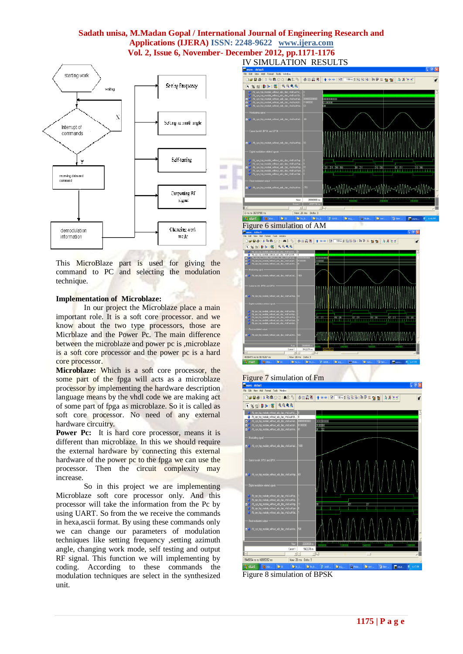

This MicroBlaze part is used for giving the command to PC and selecting the modulation technique.

#### **Implementation of Microblaze:**

In our project the Microblaze place a main important role. It is a soft core processor. and we know about the two type processors, those are Micrblaze and the Power Pc. The main difference between the microblaze and power pc is ,microblaze is a soft core processor and the power pc is a hard core processor.

**Microblaze:** Which is a soft core processor, the some part of the fpga will acts as a microblaze processor by implementing the hardware description language means by the vhdl code we are making act of some part of fpga as microblaze. So it is called as soft core processor. No need of any external hardware circuitry.

**Power Pc:** It is hard core processor, means it is different than microblaze. In this we should require the external hardware by connecting this external hardware of the power pc to the fpga we can use the processor. Then the circuit complexity may increase.

So in this project we are implementing Microblaze soft core processor only. And this processor will take the information from the Pc by using UART. So from the we receive the commands in hexa,ascii format. By using these commands only we can change our parameters of modulation techniques like setting frequency ,setting azimuth angle, changing work mode, self testing and output RF signal. This function we will implementing by coding. According to these commands the modulation techniques are select in the synthesized unit.

DGB&}X%Q221A%% | \$#@K| 1 + + + | BF T10md BBB | 7 7 7 8 10 | | | A X 16 1 Folked in the set of the set of the set of the set of the set of the set of the set of the set of the set of the set of the set of the set of the set of the set of the set of the set of the set of the set of the set of the munnmunnmunnmunn **By** start **C** 

Figure 6 simulation of AM



# Figure 7 simulation of Fm View Add Format Tools Win **DG58:XB822:ACB OHAN +++IN 100mdBBB0PRMM AXLT** TEER 3 8 9999 9945554 ns to 10865252 ns Now: 20 ms Daily 3  $\blacksquare$

Figure 8 simulation of BPSK